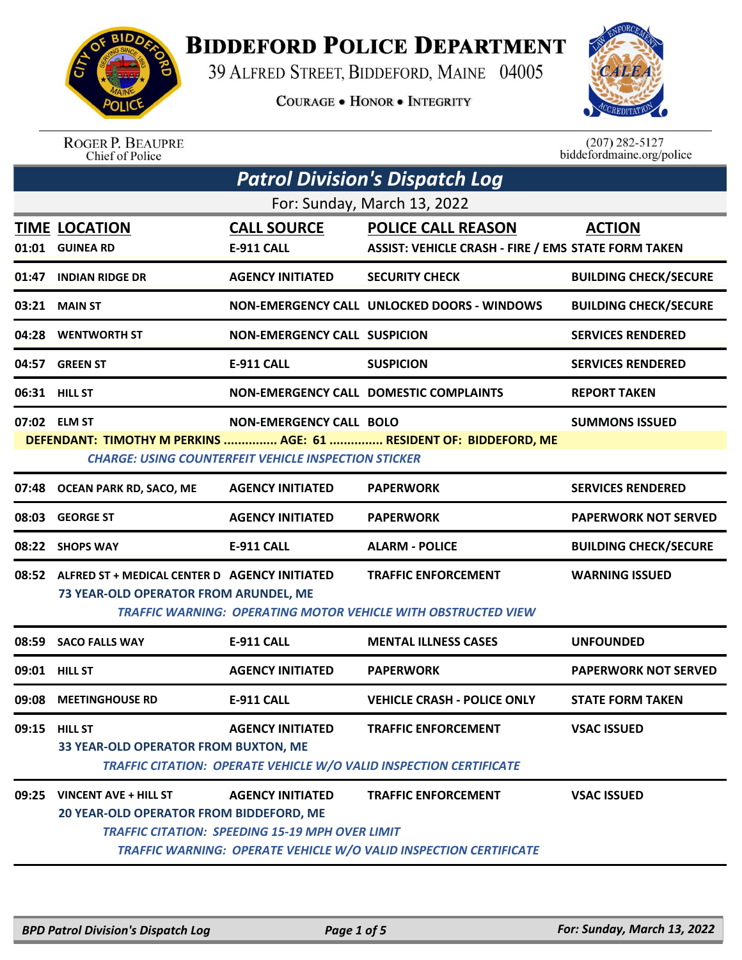

## **BIDDEFORD POLICE DEPARTMENT**

39 ALFRED STREET, BIDDEFORD, MAINE 04005

**COURAGE . HONOR . INTEGRITY** 



ROGER P. BEAUPRE<br>Chief of Police

 $(207)$  282-5127<br>biddefordmaine.org/police

| <b>Patrol Division's Dispatch Log</b> |                                                                                                     |                                                                                   |                                                                                                         |                              |  |
|---------------------------------------|-----------------------------------------------------------------------------------------------------|-----------------------------------------------------------------------------------|---------------------------------------------------------------------------------------------------------|------------------------------|--|
| For: Sunday, March 13, 2022           |                                                                                                     |                                                                                   |                                                                                                         |                              |  |
|                                       | <b>TIME LOCATION</b><br>01:01 GUINEA RD                                                             | <b>CALL SOURCE</b><br><b>E-911 CALL</b>                                           | <b>POLICE CALL REASON</b><br><b>ASSIST: VEHICLE CRASH - FIRE / EMS STATE FORM TAKEN</b>                 | <b>ACTION</b>                |  |
| 01:47                                 | <b>INDIAN RIDGE DR</b>                                                                              | <b>AGENCY INITIATED</b>                                                           | <b>SECURITY CHECK</b>                                                                                   | <b>BUILDING CHECK/SECURE</b> |  |
| 03:21                                 | <b>MAIN ST</b>                                                                                      |                                                                                   | NON-EMERGENCY CALL UNLOCKED DOORS - WINDOWS                                                             | <b>BUILDING CHECK/SECURE</b> |  |
| 04:28                                 | <b>WENTWORTH ST</b>                                                                                 | <b>NON-EMERGENCY CALL SUSPICION</b>                                               |                                                                                                         | <b>SERVICES RENDERED</b>     |  |
| 04:57                                 | <b>GREEN ST</b>                                                                                     | <b>E-911 CALL</b>                                                                 | <b>SUSPICION</b>                                                                                        | <b>SERVICES RENDERED</b>     |  |
|                                       | 06:31 HILL ST                                                                                       |                                                                                   | <b>NON-EMERGENCY CALL DOMESTIC COMPLAINTS</b>                                                           | <b>REPORT TAKEN</b>          |  |
|                                       | 07:02 ELM ST                                                                                        | NON-EMERGENCY CALL BOLO                                                           |                                                                                                         | <b>SUMMONS ISSUED</b>        |  |
|                                       |                                                                                                     | <b>CHARGE: USING COUNTERFEIT VEHICLE INSPECTION STICKER</b>                       | DEFENDANT: TIMOTHY M PERKINS  AGE: 61  RESIDENT OF: BIDDEFORD, ME                                       |                              |  |
| 07:48                                 | OCEAN PARK RD, SACO, ME                                                                             | <b>AGENCY INITIATED</b>                                                           | <b>PAPERWORK</b>                                                                                        | <b>SERVICES RENDERED</b>     |  |
| 08:03                                 | <b>GEORGE ST</b>                                                                                    | <b>AGENCY INITIATED</b>                                                           | <b>PAPERWORK</b>                                                                                        | <b>PAPERWORK NOT SERVED</b>  |  |
|                                       | 08:22 SHOPS WAY                                                                                     | <b>E-911 CALL</b>                                                                 | <b>ALARM - POLICE</b>                                                                                   | <b>BUILDING CHECK/SECURE</b> |  |
|                                       | 08:52 ALFRED ST + MEDICAL CENTER D AGENCY INITIATED<br><b>73 YEAR-OLD OPERATOR FROM ARUNDEL, ME</b> |                                                                                   | <b>TRAFFIC ENFORCEMENT</b>                                                                              | <b>WARNING ISSUED</b>        |  |
|                                       |                                                                                                     |                                                                                   | <b>TRAFFIC WARNING: OPERATING MOTOR VEHICLE WITH OBSTRUCTED VIEW</b>                                    |                              |  |
| 08:59                                 | <b>SACO FALLS WAY</b>                                                                               | <b>E-911 CALL</b>                                                                 | <b>MENTAL ILLNESS CASES</b>                                                                             | <b>UNFOUNDED</b>             |  |
|                                       | 09:01 HILL ST                                                                                       | <b>AGENCY INITIATED</b>                                                           | <b>PAPERWORK</b>                                                                                        | <b>PAPERWORK NOT SERVED</b>  |  |
| 09:08                                 | <b>MEETINGHOUSE RD</b>                                                                              | <b>E-911 CALL</b>                                                                 | <b>VEHICLE CRASH - POLICE ONLY</b>                                                                      | <b>STATE FORM TAKEN</b>      |  |
|                                       | 09:15 HILL ST<br>33 YEAR-OLD OPERATOR FROM BUXTON, ME                                               | <b>AGENCY INITIATED</b>                                                           | <b>TRAFFIC ENFORCEMENT</b><br><b>TRAFFIC CITATION: OPERATE VEHICLE W/O VALID INSPECTION CERTIFICATE</b> | <b>VSAC ISSUED</b>           |  |
| 09:25                                 | VINCENT AVE + HILL ST<br>20 YEAR-OLD OPERATOR FROM BIDDEFORD, ME                                    | <b>AGENCY INITIATED</b><br><b>TRAFFIC CITATION: SPEEDING 15-19 MPH OVER LIMIT</b> | <b>TRAFFIC ENFORCEMENT</b><br><b>TRAFFIC WARNING: OPERATE VEHICLE W/O VALID INSPECTION CERTIFICATE</b>  | <b>VSAC ISSUED</b>           |  |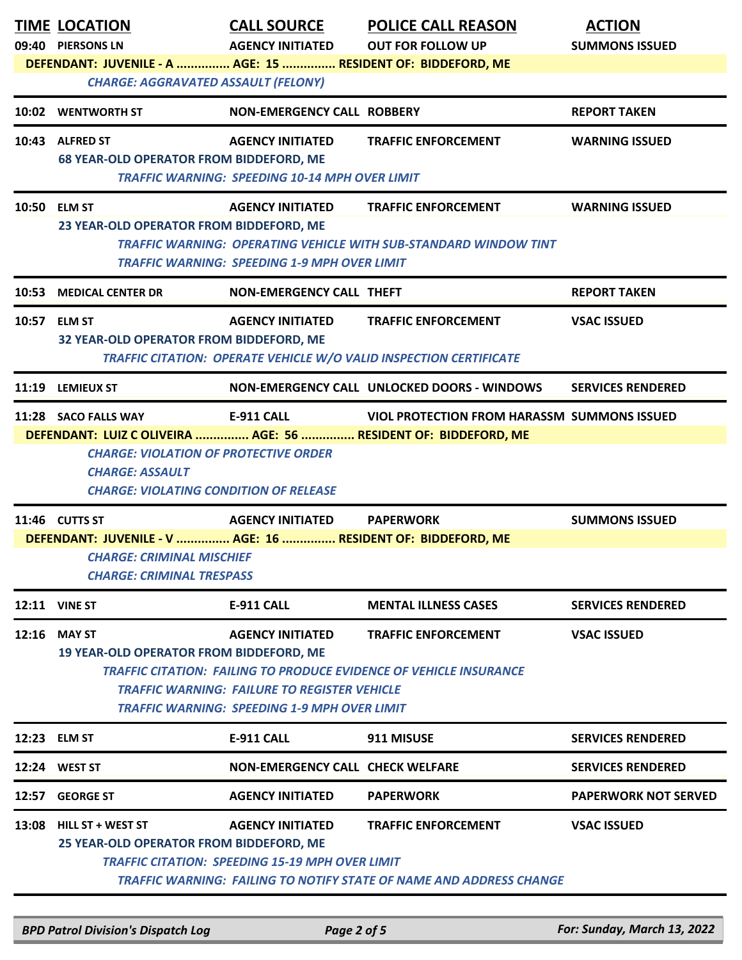|       | <b>TIME LOCATION</b><br>09:40 PIERSONS LN<br>DEFENDANT: JUVENILE - A  AGE: 15  RESIDENT OF: BIDDEFORD, ME<br><b>CHARGE: AGGRAVATED ASSAULT (FELONY)</b>                                                                                                                                                                           | <b>CALL SOURCE</b><br><b>AGENCY INITIATED</b>                                     | <b>POLICE CALL REASON</b><br><b>OUT FOR FOLLOW UP</b>                                                    | <b>ACTION</b><br><b>SUMMONS ISSUED</b> |  |  |
|-------|-----------------------------------------------------------------------------------------------------------------------------------------------------------------------------------------------------------------------------------------------------------------------------------------------------------------------------------|-----------------------------------------------------------------------------------|----------------------------------------------------------------------------------------------------------|----------------------------------------|--|--|
|       | 10:02 WENTWORTH ST                                                                                                                                                                                                                                                                                                                | NON-EMERGENCY CALL ROBBERY                                                        |                                                                                                          | <b>REPORT TAKEN</b>                    |  |  |
|       | 10:43 ALFRED ST<br><b>68 YEAR-OLD OPERATOR FROM BIDDEFORD, ME</b>                                                                                                                                                                                                                                                                 | <b>AGENCY INITIATED</b><br><b>TRAFFIC WARNING: SPEEDING 10-14 MPH OVER LIMIT</b>  | <b>TRAFFIC ENFORCEMENT</b>                                                                               | <b>WARNING ISSUED</b>                  |  |  |
|       | 10:50 ELM ST<br>23 YEAR-OLD OPERATOR FROM BIDDEFORD, ME                                                                                                                                                                                                                                                                           | <b>AGENCY INITIATED</b><br><b>TRAFFIC WARNING: SPEEDING 1-9 MPH OVER LIMIT</b>    | <b>TRAFFIC ENFORCEMENT</b><br><b>TRAFFIC WARNING: OPERATING VEHICLE WITH SUB-STANDARD WINDOW TINT</b>    | <b>WARNING ISSUED</b>                  |  |  |
|       | 10:53 MEDICAL CENTER DR                                                                                                                                                                                                                                                                                                           | <b>NON-EMERGENCY CALL THEFT</b>                                                   |                                                                                                          | <b>REPORT TAKEN</b>                    |  |  |
|       | 10:57 ELM ST<br>32 YEAR-OLD OPERATOR FROM BIDDEFORD, ME                                                                                                                                                                                                                                                                           | <b>AGENCY INITIATED</b>                                                           | <b>TRAFFIC ENFORCEMENT</b><br><b>TRAFFIC CITATION: OPERATE VEHICLE W/O VALID INSPECTION CERTIFICATE</b>  | <b>VSAC ISSUED</b>                     |  |  |
|       | 11:19 LEMIEUX ST                                                                                                                                                                                                                                                                                                                  |                                                                                   | NON-EMERGENCY CALL UNLOCKED DOORS - WINDOWS                                                              | <b>SERVICES RENDERED</b>               |  |  |
|       | 11:28 SACO FALLS WAY<br>DEFENDANT: LUIZ C OLIVEIRA  AGE: 56  RESIDENT OF: BIDDEFORD, ME<br><b>CHARGE: VIOLATION OF PROTECTIVE ORDER</b><br><b>CHARGE: ASSAULT</b><br><b>CHARGE: VIOLATING CONDITION OF RELEASE</b>                                                                                                                | <b>E-911 CALL</b>                                                                 | <b>VIOL PROTECTION FROM HARASSM SUMMONS ISSUED</b>                                                       |                                        |  |  |
|       | 11:46 CUTTS ST                                                                                                                                                                                                                                                                                                                    | <b>AGENCY INITIATED</b>                                                           | <b>PAPERWORK</b>                                                                                         | <b>SUMMONS ISSUED</b>                  |  |  |
|       | DEFENDANT: JUVENILE - V  AGE: 16  RESIDENT OF: BIDDEFORD, ME<br>CHARGE: CRIMINAL MISCHIEF<br><b>CHARGE: CRIMINAL TRESPASS</b>                                                                                                                                                                                                     |                                                                                   |                                                                                                          |                                        |  |  |
|       | <b>12:11 VINE ST</b>                                                                                                                                                                                                                                                                                                              | <b>E-911 CALL</b>                                                                 | <b>MENTAL ILLNESS CASES</b>                                                                              | <b>SERVICES RENDERED</b>               |  |  |
|       | 12:16 MAY ST<br><b>AGENCY INITIATED</b><br><b>TRAFFIC ENFORCEMENT</b><br><b>VSAC ISSUED</b><br><b>19 YEAR-OLD OPERATOR FROM BIDDEFORD, ME</b><br>TRAFFIC CITATION: FAILING TO PRODUCE EVIDENCE OF VEHICLE INSURANCE<br><b>TRAFFIC WARNING: FAILURE TO REGISTER VEHICLE</b><br><b>TRAFFIC WARNING: SPEEDING 1-9 MPH OVER LIMIT</b> |                                                                                   |                                                                                                          |                                        |  |  |
|       | 12:23 ELM ST                                                                                                                                                                                                                                                                                                                      | <b>E-911 CALL</b>                                                                 | 911 MISUSE                                                                                               | <b>SERVICES RENDERED</b>               |  |  |
|       | 12:24 WEST ST                                                                                                                                                                                                                                                                                                                     | <b>NON-EMERGENCY CALL CHECK WELFARE</b>                                           |                                                                                                          | <b>SERVICES RENDERED</b>               |  |  |
| 12:57 | <b>GEORGE ST</b>                                                                                                                                                                                                                                                                                                                  | <b>AGENCY INITIATED</b>                                                           | <b>PAPERWORK</b>                                                                                         | <b>PAPERWORK NOT SERVED</b>            |  |  |
| 13:08 | <b>HILL ST + WEST ST</b><br>25 YEAR-OLD OPERATOR FROM BIDDEFORD, ME                                                                                                                                                                                                                                                               | <b>AGENCY INITIATED</b><br><b>TRAFFIC CITATION: SPEEDING 15-19 MPH OVER LIMIT</b> | <b>TRAFFIC ENFORCEMENT</b><br><b>TRAFFIC WARNING: FAILING TO NOTIFY STATE OF NAME AND ADDRESS CHANGE</b> | <b>VSAC ISSUED</b>                     |  |  |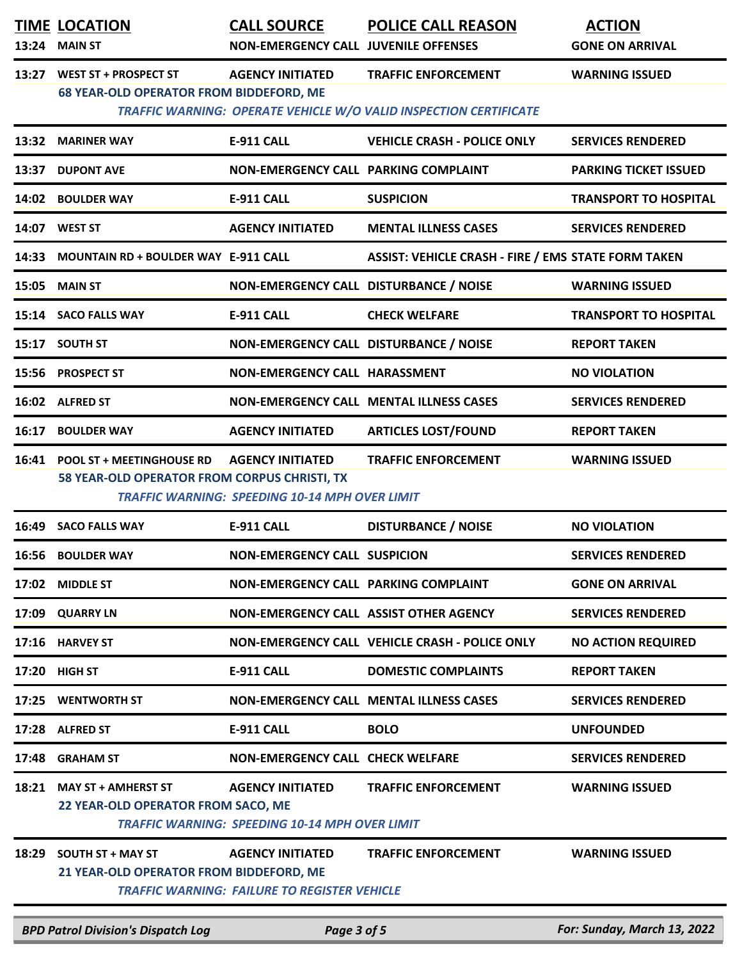|       | <b>TIME LOCATION</b><br>13:24 MAIN ST                                           | <b>CALL SOURCE</b><br><b>NON-EMERGENCY CALL JUVENILE OFFENSES</b>                | <b>POLICE CALL REASON</b>                                                | <b>ACTION</b><br><b>GONE ON ARRIVAL</b> |
|-------|---------------------------------------------------------------------------------|----------------------------------------------------------------------------------|--------------------------------------------------------------------------|-----------------------------------------|
| 13:27 | <b>WEST ST + PROSPECT ST</b><br><b>68 YEAR-OLD OPERATOR FROM BIDDEFORD, ME</b>  | <b>AGENCY INITIATED</b>                                                          | <b>TRAFFIC ENFORCEMENT</b>                                               | <b>WARNING ISSUED</b>                   |
|       |                                                                                 |                                                                                  | <b>TRAFFIC WARNING: OPERATE VEHICLE W/O VALID INSPECTION CERTIFICATE</b> |                                         |
|       | 13:32 MARINER WAY                                                               | <b>E-911 CALL</b>                                                                | <b>VEHICLE CRASH - POLICE ONLY</b>                                       | <b>SERVICES RENDERED</b>                |
| 13:37 | <b>DUPONT AVE</b>                                                               | NON-EMERGENCY CALL PARKING COMPLAINT                                             |                                                                          | <b>PARKING TICKET ISSUED</b>            |
|       | 14:02 BOULDER WAY                                                               | <b>E-911 CALL</b>                                                                | <b>SUSPICION</b>                                                         | <b>TRANSPORT TO HOSPITAL</b>            |
|       | 14:07 WEST ST                                                                   | <b>AGENCY INITIATED</b>                                                          | <b>MENTAL ILLNESS CASES</b>                                              | <b>SERVICES RENDERED</b>                |
|       | 14:33 MOUNTAIN RD + BOULDER WAY E-911 CALL                                      |                                                                                  | <b>ASSIST: VEHICLE CRASH - FIRE / EMS STATE FORM TAKEN</b>               |                                         |
|       | 15:05 MAIN ST                                                                   | NON-EMERGENCY CALL DISTURBANCE / NOISE                                           |                                                                          | <b>WARNING ISSUED</b>                   |
|       | 15:14 SACO FALLS WAY                                                            | <b>E-911 CALL</b>                                                                | <b>CHECK WELFARE</b>                                                     | <b>TRANSPORT TO HOSPITAL</b>            |
|       | 15:17 SOUTH ST                                                                  | NON-EMERGENCY CALL DISTURBANCE / NOISE                                           |                                                                          | <b>REPORT TAKEN</b>                     |
|       | 15:56 PROSPECT ST                                                               | NON-EMERGENCY CALL HARASSMENT                                                    |                                                                          | <b>NO VIOLATION</b>                     |
|       | 16:02 ALFRED ST                                                                 |                                                                                  | NON-EMERGENCY CALL MENTAL ILLNESS CASES                                  | <b>SERVICES RENDERED</b>                |
|       | 16:17 BOULDER WAY                                                               | <b>AGENCY INITIATED</b>                                                          | <b>ARTICLES LOST/FOUND</b>                                               | <b>REPORT TAKEN</b>                     |
|       | 16:41 POOL ST + MEETINGHOUSE RD<br>58 YEAR-OLD OPERATOR FROM CORPUS CHRISTI, TX | <b>AGENCY INITIATED</b><br><b>TRAFFIC WARNING: SPEEDING 10-14 MPH OVER LIMIT</b> | <b>TRAFFIC ENFORCEMENT</b>                                               | <b>WARNING ISSUED</b>                   |
| 16:49 | <b>SACO FALLS WAY</b>                                                           | <b>E-911 CALL</b>                                                                | <b>DISTURBANCE / NOISE</b>                                               | <b>NO VIOLATION</b>                     |
|       | 16:56 BOULDER WAY                                                               | <b>NON-EMERGENCY CALL SUSPICION</b>                                              |                                                                          | <b>SERVICES RENDERED</b>                |
|       | 17:02 MIDDLE ST                                                                 | NON-EMERGENCY CALL PARKING COMPLAINT                                             |                                                                          | <b>GONE ON ARRIVAL</b>                  |
| 17:09 | <b>QUARRY LN</b>                                                                | NON-EMERGENCY CALL ASSIST OTHER AGENCY                                           |                                                                          | <b>SERVICES RENDERED</b>                |
|       | 17:16 HARVEY ST                                                                 |                                                                                  | NON-EMERGENCY CALL VEHICLE CRASH - POLICE ONLY                           | <b>NO ACTION REQUIRED</b>               |
| 17:20 | <b>HIGH ST</b>                                                                  | <b>E-911 CALL</b>                                                                | <b>DOMESTIC COMPLAINTS</b>                                               | <b>REPORT TAKEN</b>                     |
|       | 17:25 WENTWORTH ST                                                              |                                                                                  | <b>NON-EMERGENCY CALL MENTAL ILLNESS CASES</b>                           | <b>SERVICES RENDERED</b>                |
|       | 17:28 ALFRED ST                                                                 | <b>E-911 CALL</b>                                                                | <b>BOLO</b>                                                              | <b>UNFOUNDED</b>                        |
|       | 17:48 GRAHAM ST                                                                 | <b>NON-EMERGENCY CALL CHECK WELFARE</b>                                          |                                                                          | <b>SERVICES RENDERED</b>                |
| 18:21 | <b>MAY ST + AMHERST ST</b><br>22 YEAR-OLD OPERATOR FROM SACO, ME                | <b>AGENCY INITIATED</b><br><b>TRAFFIC WARNING: SPEEDING 10-14 MPH OVER LIMIT</b> | <b>TRAFFIC ENFORCEMENT</b>                                               | <b>WARNING ISSUED</b>                   |
| 18:29 | <b>SOUTH ST + MAY ST</b><br>21 YEAR-OLD OPERATOR FROM BIDDEFORD, ME             | <b>AGENCY INITIATED</b><br><b>TRAFFIC WARNING: FAILURE TO REGISTER VEHICLE</b>   | <b>TRAFFIC ENFORCEMENT</b>                                               | <b>WARNING ISSUED</b>                   |
|       | <b>BPD Patrol Division's Dispatch Log</b>                                       | Page 3 of 5                                                                      |                                                                          | For: Sunday, March 13, 2022             |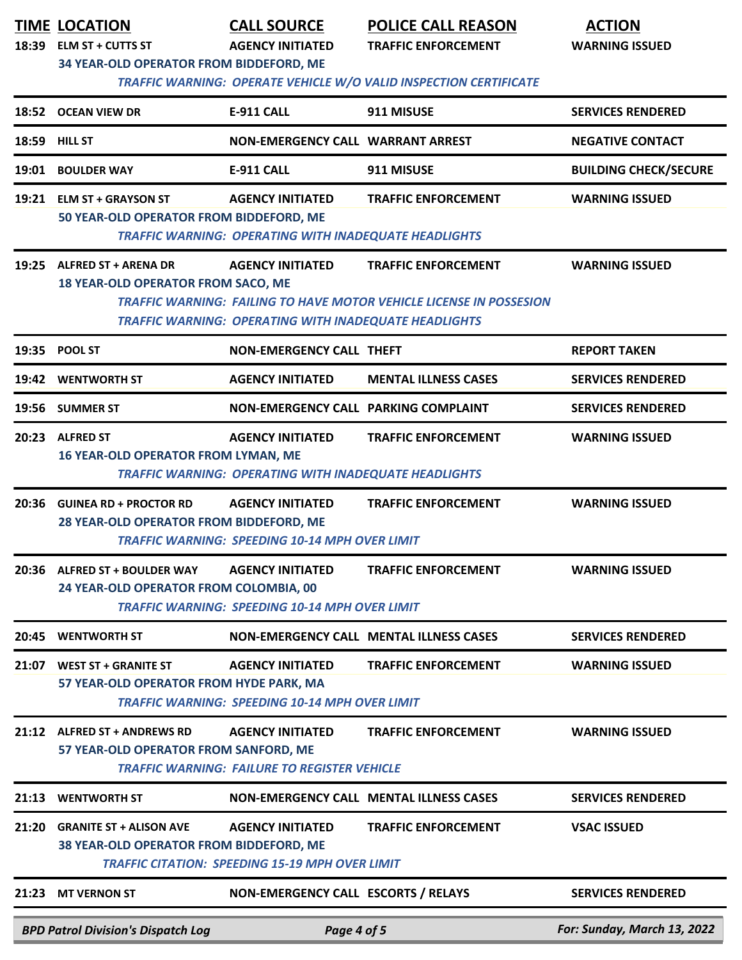|       | <b>TIME LOCATION</b><br>18:39 ELM ST + CUTTS ST<br>34 YEAR-OLD OPERATOR FROM BIDDEFORD, ME | <b>CALL SOURCE</b><br><b>AGENCY INITIATED</b>                                           | <b>POLICE CALL REASON</b><br><b>TRAFFIC ENFORCEMENT</b><br>TRAFFIC WARNING: OPERATE VEHICLE W/O VALID INSPECTION CERTIFICATE | <b>ACTION</b><br><b>WARNING ISSUED</b> |
|-------|--------------------------------------------------------------------------------------------|-----------------------------------------------------------------------------------------|------------------------------------------------------------------------------------------------------------------------------|----------------------------------------|
|       | 18:52 OCEAN VIEW DR                                                                        | <b>E-911 CALL</b>                                                                       | 911 MISUSE                                                                                                                   | <b>SERVICES RENDERED</b>               |
|       | <b>18:59 HILL ST</b>                                                                       | <b>NON-EMERGENCY CALL WARRANT ARREST</b>                                                |                                                                                                                              | <b>NEGATIVE CONTACT</b>                |
| 19:01 | <b>BOULDER WAY</b>                                                                         | <b>E-911 CALL</b>                                                                       | 911 MISUSE                                                                                                                   | <b>BUILDING CHECK/SECURE</b>           |
|       | 19:21 ELM ST + GRAYSON ST<br>50 YEAR-OLD OPERATOR FROM BIDDEFORD, ME                       | <b>AGENCY INITIATED</b><br><b>TRAFFIC WARNING: OPERATING WITH INADEQUATE HEADLIGHTS</b> | <b>TRAFFIC ENFORCEMENT</b>                                                                                                   | <b>WARNING ISSUED</b>                  |
|       | 19:25 ALFRED ST + ARENA DR<br><b>18 YEAR-OLD OPERATOR FROM SACO, ME</b>                    | <b>AGENCY INITIATED</b><br><b>TRAFFIC WARNING: OPERATING WITH INADEQUATE HEADLIGHTS</b> | <b>TRAFFIC ENFORCEMENT</b><br><b>TRAFFIC WARNING: FAILING TO HAVE MOTOR VEHICLE LICENSE IN POSSESION</b>                     | <b>WARNING ISSUED</b>                  |
|       | 19:35 POOL ST                                                                              | <b>NON-EMERGENCY CALL THEFT</b>                                                         |                                                                                                                              | <b>REPORT TAKEN</b>                    |
|       | 19:42 WENTWORTH ST                                                                         | <b>AGENCY INITIATED</b>                                                                 | <b>MENTAL ILLNESS CASES</b>                                                                                                  | <b>SERVICES RENDERED</b>               |
|       | 19:56 SUMMER ST                                                                            | NON-EMERGENCY CALL PARKING COMPLAINT                                                    |                                                                                                                              | <b>SERVICES RENDERED</b>               |
|       | 20:23 ALFRED ST<br><b>16 YEAR-OLD OPERATOR FROM LYMAN, ME</b>                              | <b>AGENCY INITIATED</b><br><b>TRAFFIC WARNING: OPERATING WITH INADEQUATE HEADLIGHTS</b> | <b>TRAFFIC ENFORCEMENT</b>                                                                                                   | <b>WARNING ISSUED</b>                  |
|       | 20:36 GUINEA RD + PROCTOR RD<br>28 YEAR-OLD OPERATOR FROM BIDDEFORD, ME                    | <b>AGENCY INITIATED</b><br><b>TRAFFIC WARNING: SPEEDING 10-14 MPH OVER LIMIT</b>        | <b>TRAFFIC ENFORCEMENT</b>                                                                                                   | <b>WARNING ISSUED</b>                  |
| 20:36 | <b>ALFRED ST + BOULDER WAY</b><br>24 YEAR-OLD OPERATOR FROM COLOMBIA, 00                   | <b>AGENCY INITIATED</b><br><b>TRAFFIC WARNING: SPEEDING 10-14 MPH OVER LIMIT</b>        | <b>TRAFFIC ENFORCEMENT</b>                                                                                                   | <b>WARNING ISSUED</b>                  |
| 20:45 | <b>WENTWORTH ST</b>                                                                        |                                                                                         | <b>NON-EMERGENCY CALL MENTAL ILLNESS CASES</b>                                                                               | <b>SERVICES RENDERED</b>               |
| 21:07 | <b>WEST ST + GRANITE ST</b><br>57 YEAR-OLD OPERATOR FROM HYDE PARK, MA                     | <b>AGENCY INITIATED</b><br><b>TRAFFIC WARNING: SPEEDING 10-14 MPH OVER LIMIT</b>        | <b>TRAFFIC ENFORCEMENT</b>                                                                                                   | <b>WARNING ISSUED</b>                  |
| 21:12 | <b>ALFRED ST + ANDREWS RD</b><br>57 YEAR-OLD OPERATOR FROM SANFORD, ME                     | <b>AGENCY INITIATED</b><br><b>TRAFFIC WARNING: FAILURE TO REGISTER VEHICLE</b>          | <b>TRAFFIC ENFORCEMENT</b>                                                                                                   | <b>WARNING ISSUED</b>                  |
| 21:13 | <b>WENTWORTH ST</b>                                                                        |                                                                                         | NON-EMERGENCY CALL MENTAL ILLNESS CASES                                                                                      | <b>SERVICES RENDERED</b>               |
| 21:20 | <b>GRANITE ST + ALISON AVE</b><br>38 YEAR-OLD OPERATOR FROM BIDDEFORD, ME                  | <b>AGENCY INITIATED</b><br><b>TRAFFIC CITATION: SPEEDING 15-19 MPH OVER LIMIT</b>       | <b>TRAFFIC ENFORCEMENT</b>                                                                                                   | <b>VSAC ISSUED</b>                     |
| 21:23 | <b>MT VERNON ST</b>                                                                        | NON-EMERGENCY CALL ESCORTS / RELAYS                                                     |                                                                                                                              | <b>SERVICES RENDERED</b>               |
|       | <b>BPD Patrol Division's Dispatch Log</b>                                                  | Page 4 of 5                                                                             |                                                                                                                              | For: Sunday, March 13, 2022            |